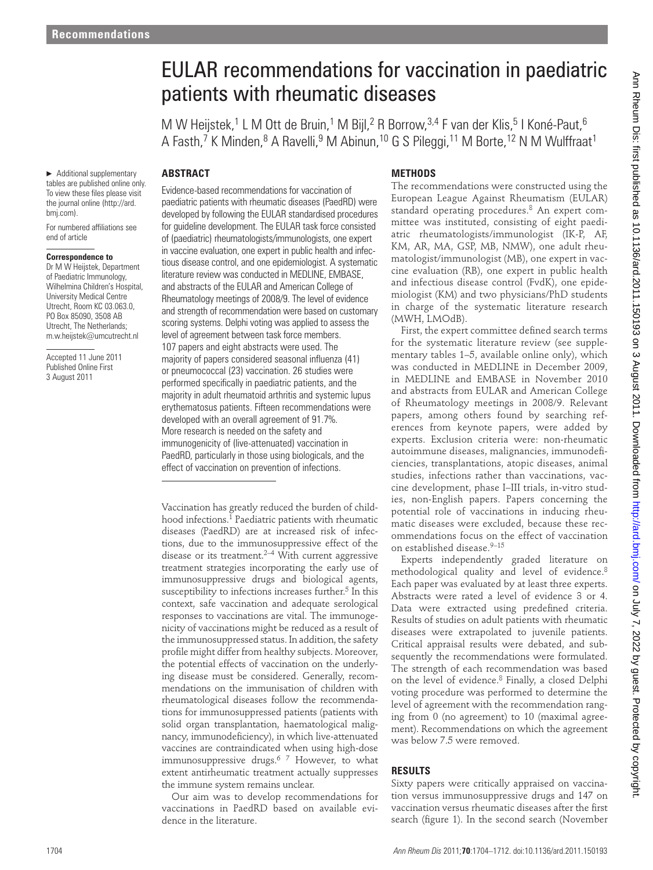# EULAR recommendations for vaccination in paediatric patients with rheumatic diseases

M W Heijstek,<sup>1</sup> L M Ott de Bruin,<sup>1</sup> M Bijl,<sup>2</sup> R Borrow,<sup>3,4</sup> F van der Klis,<sup>5</sup> I Koné-Paut,<sup>6</sup> A Fasth,<sup>7</sup> K Minden,<sup>8</sup> A Ravelli,<sup>9</sup> M Abinun,<sup>10</sup> G S Pileggi,<sup>11</sup> M Borte,<sup>12</sup> N M Wulffraat<sup>1</sup>

# **ABSTRACT**

▶ Additional supplementary tables are published online only. To view these files please visit the journal online (http://ard. bmj.com ).

For numbered affiliations see end of article

#### **Correspondence to**

 Dr M W Heijstek, Department of Paediatric Immunology, Wilhelmina Children's Hospital, University Medical Centre Utrecht, Room KC 03.063.0, PO Box 85090, 3508 AB Utrecht, The Netherlands; m.w.heijstek@umcutrecht.nl

Accepted 11 June 2011 Published Online First 3 August 2011

 Evidence-based recommendations for vaccination of paediatric patients with rheumatic diseases (PaedRD) were developed by following the EULAR standardised procedures for guideline development. The EULAR task force consisted of (paediatric) rheumatologists/immunologists, one expert in vaccine evaluation, one expert in public health and infectious disease control, and one epidemiologist. A systematic literature review was conducted in MEDLINE, EMBASE, and abstracts of the EULAR and American College of Rheumatology meetings of 2008/9. The level of evidence and strength of recommendation were based on customary scoring systems. Delphi voting was applied to assess the level of agreement between task force members. 107 papers and eight abstracts were used. The majority of papers considered seasonal influenza (41) or pneumococcal (23) vaccination. 26 studies were performed specifically in paediatric patients, and the majority in adult rheumatoid arthritis and systemic lupus erythematosus patients. Fifteen recommendations were developed with an overall agreement of 91.7%. More research is needed on the safety and immunogenicity of (live-attenuated) vaccination in PaedRD, particularly in those using biologicals, and the effect of vaccination on prevention of infections.

Vaccination has greatly reduced the burden of childhood infections.<sup>1</sup> Paediatric patients with rheumatic diseases (PaedRD) are at increased risk of infections, due to the immunosuppressive effect of the disease or its treatment.<sup>2–4</sup> With current aggressive treatment strategies incorporating the early use of immunosuppressive drugs and biological agents, susceptibility to infections increases further.<sup>5</sup> In this context, safe vaccination and adequate serological responses to vaccinations are vital. The immunogenicity of vaccinations might be reduced as a result of the immunosuppressed status. In addition, the safety profile might differ from healthy subjects. Moreover, the potential effects of vaccination on the underlying disease must be considered. Generally, recommendations on the immunisation of children with rheumatological diseases follow the recommendations for immunosuppressed patients (patients with solid organ transplantation, haematological malignancy, immunodeficiency), in which live-attenuated vaccines are contraindicated when using high-dose immunosuppressive drugs.<sup>6 7</sup> However, to what extent antirheumatic treatment actually suppresses the immune system remains unclear. **Control into the control interaction of the control into the control into the control into the control into the control into the control into the control into the control into the control into the control into the contro** 

Our aim was to develop recommendations for vaccinations in PaedRD based on available evidence in the literature.

## **METHODS**

The recommendations were constructed using the European League Against Rheumatism (EULAR) standard operating procedures.<sup>8</sup> An expert committee was instituted, consisting of eight paediatric rheumatologists/immunologist (IK-P, AF, KM, AR, MA, GSP, MB, NMW), one adult rheumatologist/immunologist (MB), one expert in vaccine evaluation (RB), one expert in public health and infectious disease control (FvdK), one epidemiologist (KM) and two physicians/PhD students in charge of the systematic literature research (MWH, LMOdB).

First, the expert committee defined search terms for the systematic literature review (see supplementary tables 1–5, available online only), which was conducted in MEDLINE in December 2009, in MEDLINE and EMBASE in November 2010 and abstracts from EULAR and American College of Rheumatology meetings in 2008/9. Relevant papers, among others found by searching references from keynote papers, were added by experts. Exclusion criteria were: non-rheumatic autoimmune diseases, malignancies, immunodeficiencies, transplantations, atopic diseases, animal studies, infections rather than vaccinations, vaccine development, phase I–III trials, in-vitro studies, non-English papers. Papers concerning the potential role of vaccinations in inducing rheumatic diseases were excluded, because these recommendations focus on the effect of vaccination on established disease. 9–15

Experts independently graded literature on methodological quality and level of evidence.<sup>8</sup> Each paper was evaluated by at least three experts. Abstracts were rated a level of evidence 3 or 4. Data were extracted using predefined criteria. Results of studies on adult patients with rheumatic diseases were extrapolated to juvenile patients. Critical appraisal results were debated, and subsequently the recommendations were formulated. The strength of each recommendation was based on the level of evidence.<sup>8</sup> Finally, a closed Delphi voting procedure was performed to determine the level of agreement with the recommendation ranging from 0 (no agreement) to 10 (maximal agreement). Recommendations on which the agreement was below 7.5 were removed.

## **RESULTS**

Sixty papers were critically appraised on vaccination versus immunosuppressive drugs and 147 on vaccination versus rheumatic diseases after the first search (figure 1). In the second search (November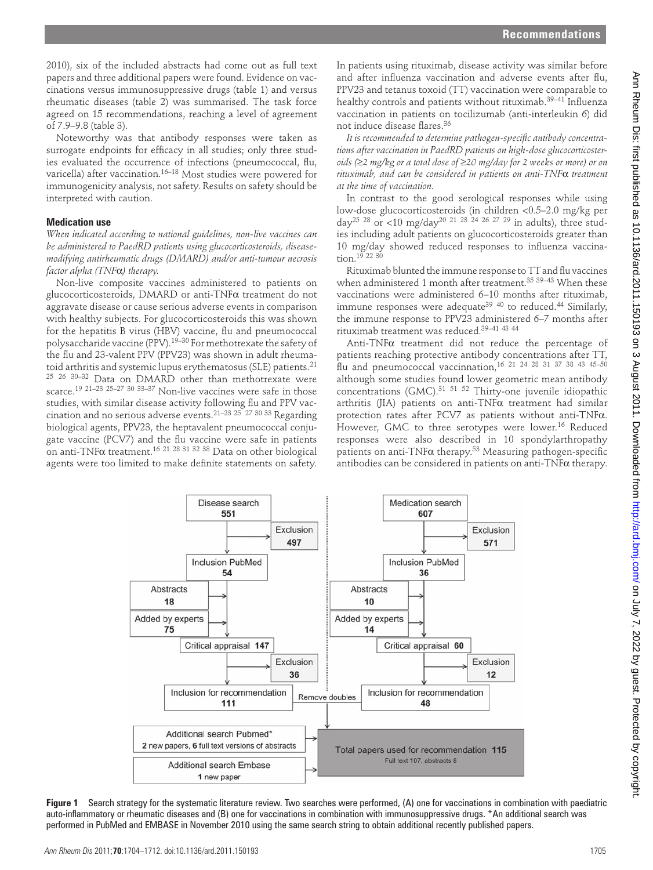2010), six of the included abstracts had come out as full text papers and three additional papers were found. Evidence on vaccinations versus immunosuppressive drugs (table 1) and versus rheumatic diseases (table 2) was summarised. The task force agreed on 15 recommendations, reaching a level of agreement of 7.9-9.8 (table 3).

Noteworthy was that antibody responses were taken as surrogate endpoints for efficacy in all studies; only three studies evaluated the occurrence of infections (pneumococcal, flu, varicella) after vaccination.<sup>16–18</sup> Most studies were powered for immunogenicity analysis, not safety. Results on safety should be interpreted with caution.

#### **Medication use**

*When indicated according to national guidelines, non-live vaccines can be administered to PaedRD patients using glucocorticosteroids, diseasemodifying antirheumatic drugs (DMARD) and/or anti-tumour necrosis factor alpha (TNF*α*) therapy.*

Non-live composite vaccines administered to patients on glucocorticosteroids, DMARD or anti-TNFα treatment do not aggravate disease or cause serious adverse events in comparison with healthy subjects. For glucocorticosteroids this was shown for the hepatitis B virus (HBV) vaccine, flu and pneumococcal polysaccharide vaccine (PPV). 19–30 For methotrexate the safety of the flu and 23-valent PPV (PPV23) was shown in adult rheumatoid arthritis and systemic lupus erythematosus (SLE) patients.<sup>21</sup> 25 26 30–32 Data on DMARD other than methotrexate were scarce.<sup>19 21–23 25–27 30 33–37</sup> Non-live vaccines were safe in those studies, with similar disease activity following flu and PPV vaccination and no serious adverse events. 21–23 25 27 30 33 Regarding biological agents, PPV23, the heptavalent pneumococcal conjugate vaccine (PCV7) and the flu vaccine were safe in patients on anti-TNFα treatment.<sup>16 21 28 31 32 38</sup> Data on other biological agents were too limited to make definite statements on safety.

In patients using rituximab, disease activity was similar before and after influenza vaccination and adverse events after flu, PPV23 and tetanus toxoid (TT) vaccination were comparable to healthy controls and patients without rituximab.<sup>39–41</sup> Influenza vaccination in patients on tocilizumab (anti-interleukin 6) did not induce disease flares 36

It is recommended to determine pathogen-specific antibody concentra*tions after vaccination in PaedRD patients on high-dose glucocorticosteroids (*≥*2 mg/kg or a total dose of* ≥*20 mg/day for 2 weeks or more) or on rituximab, and can be considered in patients on anti-TNF*α *treatment at the time of vaccination.*

In contrast to the good serological responses while using low-dose glucocorticosteroids (in children <0.5–2.0 mg/kg per day<sup>25 28</sup> or <10 mg/day<sup>20 21 23 24 26 27 29</sup> in adults), three studies including adult patients on glucocorticosteroids greater than 10 mg/day showed reduced responses to influenza vaccination. 19 22 30

Rituximab blunted the immune response to TT and flu vaccines when administered 1 month after treatment.<sup>35 39–43</sup> When these vaccinations were administered 6–10 months after rituximab, immune responses were adequate<sup>39 40</sup> to reduced.<sup>44</sup> Similarly, the immune response to PPV23 administered 6–7 months after rituximab treatment was reduced. 39–41 43 44

Anti-TNFα treatment did not reduce the percentage of patients reaching protective antibody concentrations after TT, flu and pneumococcal vaccinnation,  $16$  21 24 28 31 37 38 43 45-50 although some studies found lower geometric mean antibody concentrations (GMC). 31 51 52 Thirty-one juvenile idiopathic arthritis (JIA) patients on anti-TNFα treatment had similar protection rates after PCV7 as patients without anti-TNFα. However, GMC to three serotypes were lower.<sup>16</sup> Reduced responses were also described in 10 spondylarthropathy patients on anti-TNF $\alpha$  therapy.<sup>53</sup> Measuring pathogen-specific antibodies can be considered in patients on anti-TNFα therapy.



**Figure 1** Search strategy for the systematic literature review. Two searches were performed, (A) one for vaccinations in combination with paediatric auto-inflammatory or rheumatic diseases and (B) one for vaccinations in combination with immunosuppressive drugs. \*An additional search was performed in PubMed and EMBASE in November 2010 using the same search string to obtain additional recently published papers.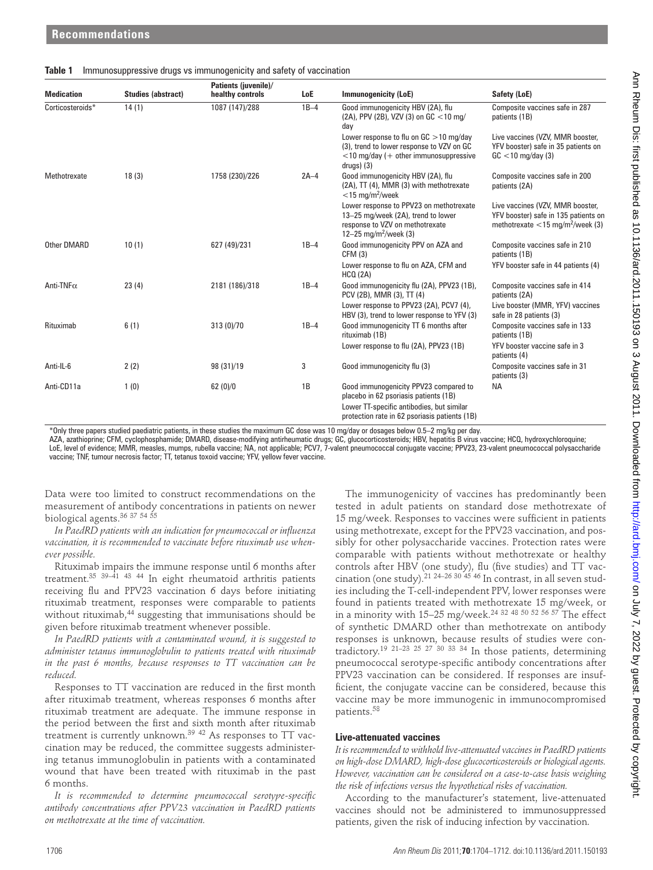|  | Table 1 Immunosuppressive drugs vs immunogenicity and safety of vaccination |  |  |  |  |
|--|-----------------------------------------------------------------------------|--|--|--|--|
|--|-----------------------------------------------------------------------------|--|--|--|--|

|                                                              | <b>Studies (abstract)</b>                           | Patients (juvenile)/<br>healthy controls                                                                                                                                                                                 | LoE    | <b>Immunogenicity (LoE)</b>                                                                                                                                                                                                                                                                         | Safety (LoE)                                                                                                                                                               |
|--------------------------------------------------------------|-----------------------------------------------------|--------------------------------------------------------------------------------------------------------------------------------------------------------------------------------------------------------------------------|--------|-----------------------------------------------------------------------------------------------------------------------------------------------------------------------------------------------------------------------------------------------------------------------------------------------------|----------------------------------------------------------------------------------------------------------------------------------------------------------------------------|
| Corticosteroids*                                             | 14(1)                                               | 1087 (147)/288                                                                                                                                                                                                           | $1B-4$ | Good immunogenicity HBV (2A), flu<br>(2A), PPV (2B), VZV (3) on GC <10 mg/<br>day                                                                                                                                                                                                                   | Composite vaccines safe in 287<br>patients (1B)                                                                                                                            |
|                                                              |                                                     |                                                                                                                                                                                                                          |        | Lower response to flu on $GC > 10$ mg/day<br>(3), trend to lower response to VZV on GC<br>$<$ 10 mg/day (+ other immunosuppressive<br>drugs) (3)                                                                                                                                                    | Live vaccines (VZV, MMR booster,<br>YFV booster) safe in 35 patients on<br>$GC$ < 10 mg/day (3)                                                                            |
| Methotrexate                                                 | 18(3)                                               | 1758 (230)/226                                                                                                                                                                                                           | $2A-4$ | Good immunogenicity HBV (2A), flu<br>(2A), TT (4), MMR (3) with methotrexate<br>$<$ 15 mg/m <sup>2</sup> /week                                                                                                                                                                                      | Composite vaccines safe in 200<br>patients (2A)                                                                                                                            |
|                                                              |                                                     |                                                                                                                                                                                                                          |        | Lower response to PPV23 on methotrexate<br>13-25 mg/week (2A), trend to lower<br>response to VZV on methotrexate<br>12-25 mg/m <sup>2</sup> /week (3)                                                                                                                                               | Live vaccines (VZV, MMR booster,<br>YFV booster) safe in 135 patients on<br>methotrexate $<$ 15 mg/m <sup>2</sup> /week (3)                                                |
| Other DMARD                                                  | 10(1)                                               | 627 (49)/231                                                                                                                                                                                                             | $1B-4$ | Good immunogenicity PPV on AZA and<br>CFM (3)                                                                                                                                                                                                                                                       | Composite vaccines safe in 210<br>patients (1B)                                                                                                                            |
|                                                              |                                                     |                                                                                                                                                                                                                          |        | Lower response to flu on AZA, CFM and<br>HCO (2A)                                                                                                                                                                                                                                                   | YFV booster safe in 44 patients (4)                                                                                                                                        |
| Anti-TNF $\alpha$                                            | 23(4)                                               | 2181 (186)/318                                                                                                                                                                                                           | $1B-4$ | Good immunogenicity flu (2A), PPV23 (1B),<br>PCV (2B), MMR (3), TT (4)                                                                                                                                                                                                                              | Composite vaccines safe in 414<br>patients (2A)                                                                                                                            |
|                                                              |                                                     |                                                                                                                                                                                                                          |        | Lower response to PPV23 (2A), PCV7 (4),<br>HBV (3), trend to lower response to YFV (3)                                                                                                                                                                                                              | Live booster (MMR, YFV) vaccines<br>safe in 28 patients (3)                                                                                                                |
| Rituximab                                                    | 6(1)                                                | 313 (0)/70                                                                                                                                                                                                               | $1B-4$ | Good immunogenicity TT 6 months after<br>rituximab (1B)<br>Lower response to flu (2A), PPV23 (1B)                                                                                                                                                                                                   | Composite vaccines safe in 133<br>patients (1B)<br>YFV booster vaccine safe in 3                                                                                           |
| Anti-IL-6                                                    | 2(2)                                                | 98 (31)/19                                                                                                                                                                                                               | 3      | Good immunogenicity flu (3)                                                                                                                                                                                                                                                                         | patients (4)<br>Composite vaccines safe in 31                                                                                                                              |
| Anti-CD11a                                                   | 1(0)                                                | 62(0)/0                                                                                                                                                                                                                  | 1B     | Good immunogenicity PPV23 compared to<br>placebo in 62 psoriasis patients (1B)<br>Lower TT-specific antibodies, but similar                                                                                                                                                                         | patients (3)<br>NA                                                                                                                                                         |
|                                                              |                                                     | vaccine; TNF, tumour necrosis factor; TT, tetanus toxoid vaccine; YFV, yellow fever vaccine.<br>Data were too limited to construct recommendations on the<br>measurement of antibody concentrations in patients on newer |        | LoE, level of evidence; MMR, measles, mumps, rubella vaccine; NA, not applicable; PCV7, 7-valent pneumococcal conjugate vaccine; PPV23, 23-valent pneumococcal polysaccharide<br>The immunogenicity of vaccines has predominantly been<br>tested in adult patients on standard dose methotrexate of | AZA, azathioprine; CFM, cyclophosphamide; DMARD, disease-modifying antirheumatic drugs; GC, glucocorticosteroids; HBV, hepatitis B virus vaccine; HCQ, hydroxychloroquine; |
|                                                              |                                                     | In PaedRD patients with an indication for pneumococcal or influenza                                                                                                                                                      |        | 15 mg/week. Responses to vaccines were sufficient in patients<br>using methotrexate, except for the PPV23 vaccination, and pos-                                                                                                                                                                     |                                                                                                                                                                            |
|                                                              |                                                     | vaccination, it is recommended to vaccinate before rituximab use when-                                                                                                                                                   |        | sibly for other polysaccharide vaccines. Protection rates were                                                                                                                                                                                                                                      |                                                                                                                                                                            |
|                                                              |                                                     | Rituximab impairs the immune response until 6 months after                                                                                                                                                               |        | comparable with patients without methotrexate or healthy<br>controls after HBV (one study), flu (five studies) and TT vac-                                                                                                                                                                          |                                                                                                                                                                            |
|                                                              |                                                     | treatment. $35\ 39-41\ 43\ 44$ In eight rheumatoid arthritis patients<br>receiving flu and PPV23 vaccination 6 days before initiating                                                                                    |        | cination (one study). <sup>21</sup> <sup>24-26</sup> <sup>30</sup> <sup>45</sup> <sup>46</sup> In contrast, in all seven stud-<br>ies including the T-cell-independent PPV, lower responses were                                                                                                    |                                                                                                                                                                            |
|                                                              |                                                     | rituximab treatment, responses were comparable to patients<br>without rituximab, <sup>44</sup> suggesting that immunisations should be                                                                                   |        | found in patients treated with methotrexate 15 mg/week, or<br>in a minority with 15–25 mg/week. <sup>24 32</sup> <sup>48 50 52 56 57</sup> The effect                                                                                                                                               |                                                                                                                                                                            |
|                                                              | given before rituximab treatment whenever possible. |                                                                                                                                                                                                                          |        | of synthetic DMARD other than methotrexate on antibody                                                                                                                                                                                                                                              |                                                                                                                                                                            |
|                                                              |                                                     | In PaedRD patients with a contaminated wound, it is suggested to<br>administer tetanus immunoglobulin to patients treated with rituximab                                                                                 |        | responses is unknown, because results of studies were con-<br>tradictory. <sup>19</sup> <sup>21-23</sup> <sup>25</sup> <sup>27</sup> <sup>30</sup> <sup>33</sup> <sup>34</sup> In those patients, determining                                                                                       |                                                                                                                                                                            |
|                                                              |                                                     | in the past 6 months, because responses to TT vaccination can be                                                                                                                                                         |        | pneumococcal serotype-specific antibody concentrations after                                                                                                                                                                                                                                        |                                                                                                                                                                            |
|                                                              |                                                     | Responses to TT vaccination are reduced in the first month                                                                                                                                                               |        | PPV23 vaccination can be considered. If responses are insuf-<br>ficient, the conjugate vaccine can be considered, because this                                                                                                                                                                      |                                                                                                                                                                            |
|                                                              |                                                     | after rituximab treatment, whereas responses 6 months after<br>rituximab treatment are adequate. The immune response in                                                                                                  |        | vaccine may be more immunogenic in immunocompromised<br>patients. <sup>58</sup>                                                                                                                                                                                                                     |                                                                                                                                                                            |
| biological agents. 36 37 54 55<br>ever possible.<br>reduced. |                                                     | the period between the first and sixth month after rituximab                                                                                                                                                             |        |                                                                                                                                                                                                                                                                                                     |                                                                                                                                                                            |
|                                                              |                                                     | treatment is currently unknown. <sup>39 42</sup> As responses to TT vac-<br>cination may be reduced, the committee suggests administer-                                                                                  |        | Live-attenuated vaccines<br>It is recommended to withhold live-attenuated vaccines in PaedRD patients                                                                                                                                                                                               |                                                                                                                                                                            |
|                                                              |                                                     | ing tetanus immunoglobulin in patients with a contaminated<br>wound that have been treated with rituximab in the past                                                                                                    |        | on high-dose DMARD, high-dose glucocorticosteroids or biological agents.<br>However, vaccination can be considered on a case-to-case basis weighing                                                                                                                                                 |                                                                                                                                                                            |
|                                                              | on methotrexate at the time of vaccination.         | It is recommended to determine pneumococcal serotype-specific<br>antibody concentrations after PPV23 vaccination in PaedRD patients                                                                                      |        | the risk of infections versus the hypothetical risks of vaccination.<br>According to the manufacturer's statement, live-attenuated<br>vaccines should not be administered to immunosuppressed<br>patients, given the risk of inducing infection by vaccination.                                     |                                                                                                                                                                            |
| 6 months.                                                    |                                                     |                                                                                                                                                                                                                          |        |                                                                                                                                                                                                                                                                                                     |                                                                                                                                                                            |

## **Live-attenuated vaccines**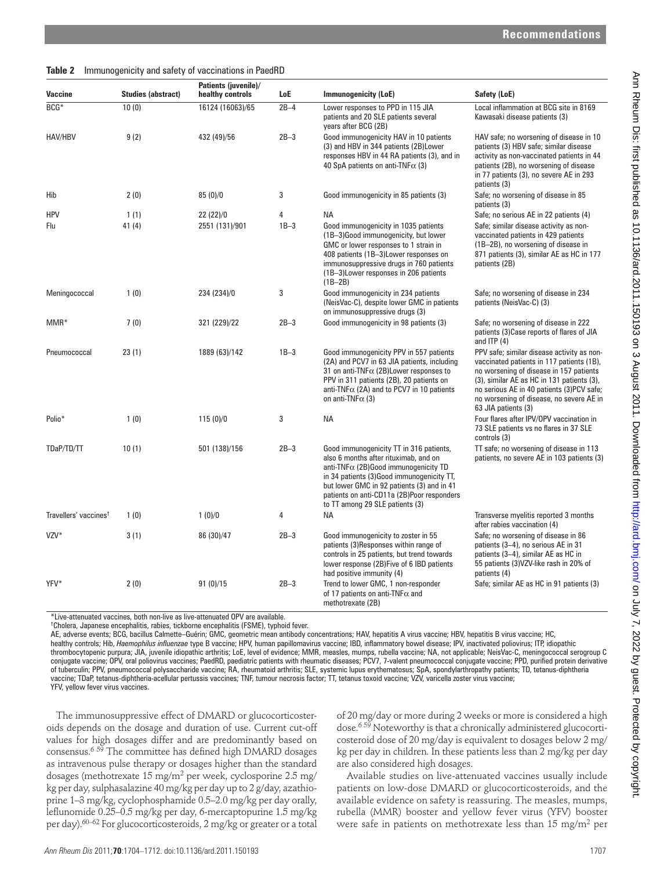#### **Table 2** Immunogenicity and safety of vaccinations in PaedRD

| <b>Vaccine</b>                    | <b>Studies (abstract)</b> | healthy controls                                                                                                                                                                                                                                                                                                                                                                                                                                                                                                                                                                                                                                                                                                            | LoE         | <b>Immunogenicity (LoE)</b>                                                                                                                                                                                                                                                                                                                                                                                                                                                                                                                                                                                                                                                                                                                                                                                                                                                                                                                                                                                                                                                                | Safety (LoE)                                                                                                                                                                                                                                                                                                                                                                                                                                                                                                                                                                                                                               |
|-----------------------------------|---------------------------|-----------------------------------------------------------------------------------------------------------------------------------------------------------------------------------------------------------------------------------------------------------------------------------------------------------------------------------------------------------------------------------------------------------------------------------------------------------------------------------------------------------------------------------------------------------------------------------------------------------------------------------------------------------------------------------------------------------------------------|-------------|--------------------------------------------------------------------------------------------------------------------------------------------------------------------------------------------------------------------------------------------------------------------------------------------------------------------------------------------------------------------------------------------------------------------------------------------------------------------------------------------------------------------------------------------------------------------------------------------------------------------------------------------------------------------------------------------------------------------------------------------------------------------------------------------------------------------------------------------------------------------------------------------------------------------------------------------------------------------------------------------------------------------------------------------------------------------------------------------|--------------------------------------------------------------------------------------------------------------------------------------------------------------------------------------------------------------------------------------------------------------------------------------------------------------------------------------------------------------------------------------------------------------------------------------------------------------------------------------------------------------------------------------------------------------------------------------------------------------------------------------------|
| BCG*                              | 10(0)                     | 16124 (16063)/65                                                                                                                                                                                                                                                                                                                                                                                                                                                                                                                                                                                                                                                                                                            | $2B-4$      | Lower responses to PPD in 115 JIA<br>patients and 20 SLE patients several<br>years after BCG (2B)                                                                                                                                                                                                                                                                                                                                                                                                                                                                                                                                                                                                                                                                                                                                                                                                                                                                                                                                                                                          | Local inflammation at BCG site in 8169<br>Kawasaki disease patients (3)                                                                                                                                                                                                                                                                                                                                                                                                                                                                                                                                                                    |
| HAV/HBV                           | 9(2)                      | 432 (49)/56                                                                                                                                                                                                                                                                                                                                                                                                                                                                                                                                                                                                                                                                                                                 | $2B-3$      | Good immunogenicity HAV in 10 patients<br>(3) and HBV in 344 patients (2B)Lower<br>responses HBV in 44 RA patients (3), and in<br>40 SpA patients on anti-TNF $\alpha$ (3)                                                                                                                                                                                                                                                                                                                                                                                                                                                                                                                                                                                                                                                                                                                                                                                                                                                                                                                 | HAV safe; no worsening of disease in 10<br>patients (3) HBV safe; similar disease<br>activity as non-vaccinated patients in 44<br>patients (2B), no worsening of disease<br>in 77 patients (3), no severe AE in 293<br>patients (3)                                                                                                                                                                                                                                                                                                                                                                                                        |
| Hib                               | 2(0)                      | 85(0)/0                                                                                                                                                                                                                                                                                                                                                                                                                                                                                                                                                                                                                                                                                                                     | 3           | Good immunogenicity in 85 patients (3)                                                                                                                                                                                                                                                                                                                                                                                                                                                                                                                                                                                                                                                                                                                                                                                                                                                                                                                                                                                                                                                     | Safe; no worsening of disease in 85<br>patients (3)                                                                                                                                                                                                                                                                                                                                                                                                                                                                                                                                                                                        |
| <b>HPV</b><br>Flu                 | 1(1)<br>41(4)             | 22 (22)/0<br>2551 (131)/901                                                                                                                                                                                                                                                                                                                                                                                                                                                                                                                                                                                                                                                                                                 | 4<br>$1B-3$ | ΝA<br>Good immunogenicity in 1035 patients<br>(1B-3)Good immunogenicity, but lower<br>GMC or lower responses to 1 strain in<br>408 patients (1B-3) Lower responses on<br>immunosuppressive drugs in 760 patients<br>(1B-3) Lower responses in 206 patients<br>$(1B-2B)$                                                                                                                                                                                                                                                                                                                                                                                                                                                                                                                                                                                                                                                                                                                                                                                                                    | Safe; no serious AE in 22 patients (4)<br>Safe; similar disease activity as non-<br>vaccinated patients in 429 patients<br>(1B-2B), no worsening of disease in<br>871 patients (3), similar AE as HC in 177<br>patients (2B)                                                                                                                                                                                                                                                                                                                                                                                                               |
| Meningococcal                     | 1(0)                      | 234 (234)/0                                                                                                                                                                                                                                                                                                                                                                                                                                                                                                                                                                                                                                                                                                                 | 3           | Good immunogenicity in 234 patients<br>(NeisVac-C), despite lower GMC in patients<br>on immunosuppressive drugs (3)                                                                                                                                                                                                                                                                                                                                                                                                                                                                                                                                                                                                                                                                                                                                                                                                                                                                                                                                                                        | Safe; no worsening of disease in 234<br>patients (NeisVac-C) (3)                                                                                                                                                                                                                                                                                                                                                                                                                                                                                                                                                                           |
| MMR*                              | 7(0)                      | 321 (229)/22                                                                                                                                                                                                                                                                                                                                                                                                                                                                                                                                                                                                                                                                                                                | $2B-3$      | Good immunogenicity in 98 patients (3)                                                                                                                                                                                                                                                                                                                                                                                                                                                                                                                                                                                                                                                                                                                                                                                                                                                                                                                                                                                                                                                     | Safe; no worsening of disease in 222<br>patients (3) Case reports of flares of JIA<br>and ITP $(4)$                                                                                                                                                                                                                                                                                                                                                                                                                                                                                                                                        |
| Pneumococcal                      | 23(1)                     | 1889 (63)/142                                                                                                                                                                                                                                                                                                                                                                                                                                                                                                                                                                                                                                                                                                               | $1B-3$      | Good immunogenicity PPV in 557 patients<br>(2A) and PCV7 in 63 JIA patients, including<br>31 on anti-TNF $\alpha$ (2B) Lower responses to<br>PPV in 311 patients (2B), 20 patients on<br>anti-TNF $\alpha$ (2A) and to PCV7 in 10 patients<br>on anti-TNF $\alpha$ (3)                                                                                                                                                                                                                                                                                                                                                                                                                                                                                                                                                                                                                                                                                                                                                                                                                     | PPV safe; similar disease activity as non-<br>vaccinated patients in 117 patients (1B),<br>no worsening of disease in 157 patients<br>(3), similar AE as HC in 131 patients (3),<br>no serious AE in 40 patients (3)PCV safe;<br>no worsening of disease, no severe AE in<br>63 JIA patients (3)                                                                                                                                                                                                                                                                                                                                           |
| Polio*                            | 1(0)                      | 115(0)/0                                                                                                                                                                                                                                                                                                                                                                                                                                                                                                                                                                                                                                                                                                                    | 3           | <b>NA</b>                                                                                                                                                                                                                                                                                                                                                                                                                                                                                                                                                                                                                                                                                                                                                                                                                                                                                                                                                                                                                                                                                  | Four flares after IPV/OPV vaccination in<br>73 SLE patients vs no flares in 37 SLE<br>controls (3)                                                                                                                                                                                                                                                                                                                                                                                                                                                                                                                                         |
| TDaP/TD/TT                        | 10(1)                     | 501 (138)/156                                                                                                                                                                                                                                                                                                                                                                                                                                                                                                                                                                                                                                                                                                               | $2B-3$      | Good immunogenicity TT in 316 patients,<br>also 6 months after rituximab, and on<br>anti-TNF $\alpha$ (2B)Good immunogenicity TD<br>in 34 patients (3)Good immunogenicity TT,<br>but lower GMC in 92 patients (3) and in 41<br>patients on anti-CD11a (2B)Poor responders<br>to TT among 29 SLE patients (3)                                                                                                                                                                                                                                                                                                                                                                                                                                                                                                                                                                                                                                                                                                                                                                               | TT safe; no worsening of disease in 113<br>patients, no severe AE in 103 patients (3)                                                                                                                                                                                                                                                                                                                                                                                                                                                                                                                                                      |
| Travellers' vaccines <sup>†</sup> | 1(0)                      | 1(0)/0                                                                                                                                                                                                                                                                                                                                                                                                                                                                                                                                                                                                                                                                                                                      | 4           | ΝA                                                                                                                                                                                                                                                                                                                                                                                                                                                                                                                                                                                                                                                                                                                                                                                                                                                                                                                                                                                                                                                                                         | Transverse myelitis reported 3 months<br>after rabies vaccination (4)                                                                                                                                                                                                                                                                                                                                                                                                                                                                                                                                                                      |
| VZV*                              | 3(1)                      | 86 (30)/47                                                                                                                                                                                                                                                                                                                                                                                                                                                                                                                                                                                                                                                                                                                  | $2B-3$      | Good immunogenicity to zoster in 55<br>patients (3)Responses within range of<br>controls in 25 patients, but trend towards<br>lower response (2B)Five of 6 IBD patients<br>had positive immunity (4)                                                                                                                                                                                                                                                                                                                                                                                                                                                                                                                                                                                                                                                                                                                                                                                                                                                                                       | Safe; no worsening of disease in 86<br>patients (3-4), no serious AE in 31<br>patients (3-4), similar AE as HC in<br>55 patients (3) VZV-like rash in 20% of<br>patients (4)                                                                                                                                                                                                                                                                                                                                                                                                                                                               |
| YFV*                              | 2(0)                      | 91(0)/15                                                                                                                                                                                                                                                                                                                                                                                                                                                                                                                                                                                                                                                                                                                    | $2B-3$      | Trend to lower GMC, 1 non-responder<br>of 17 patients on anti-TNF $\alpha$ and<br>methotrexate (2B)                                                                                                                                                                                                                                                                                                                                                                                                                                                                                                                                                                                                                                                                                                                                                                                                                                                                                                                                                                                        | Safe; similar AE as HC in 91 patients (3)                                                                                                                                                                                                                                                                                                                                                                                                                                                                                                                                                                                                  |
| YFV, yellow fever virus vaccines. |                           | *Live-attenuated vaccines, both non-live as live-attenuated OPV are available.<br><sup>†</sup> Cholera, Japanese encephalitis, rabies, tickborne encephalitis (FSME), typhoid fever.                                                                                                                                                                                                                                                                                                                                                                                                                                                                                                                                        |             | AE, adverse events; BCG, bacillus Calmette-Guérin; GMC, geometric mean antibody concentrations; HAV, hepatitis A virus vaccine; HBV, hepatitis B virus vaccine; HC,<br>healthy controls; Hib, Haemophilus influenzae type B vaccine; HPV, human papillomavirus vaccine; IBD, inflammatory bowel disease; IPV, inactivated poliovirus; ITP, idiopathic<br>thrombocytopenic purpura; JIA, juvenile idiopathic arthritis; LoE, level of evidence; MMR, measles, mumps, rubella vaccine; NA, not applicable; NeisVac-C, meningococcal serogroup C<br>conjugate vaccine; OPV, oral poliovirus vaccines; PaedRD, paediatric patients with rheumatic diseases; PCV7, 7-valent pneumococcal conjugate vaccine; PPD, purified protein derivative<br>of tuberculin; PPV, pneumococcal polysaccharide vaccine; RA, rheumatoid arthritis; SLE, systemic lupus erythematosus; SpA, spondylarthropathy patients; TD, tetanus-diphtheria<br>vaccine; TDaP, tetanus-diphtheria-acellular pertussis vaccines; TNF, tumour necrosis factor; TT, tetanus toxoid vaccine; VZV, varicella zoster virus vaccine; |                                                                                                                                                                                                                                                                                                                                                                                                                                                                                                                                                                                                                                            |
|                                   |                           | The immunosuppressive effect of DMARD or glucocorticoster-<br>oids depends on the dosage and duration of use. Current cut-off<br>values for high dosages differ and are predominantly based on<br>consensus. <sup>6 59</sup> The committee has defined high DMARD dosages<br>as intravenous pulse therapy or dosages higher than the standard<br>dosages (methotrexate $15 \text{ mg/m}^2$ per week, cyclosporine 2.5 mg/<br>kg per day, sulphasalazine 40 mg/kg per day up to 2 g/day, azathio-<br>prine 1-3 mg/kg, cyclophosphamide 0.5-2.0 mg/kg per day orally,<br>leflunomide 0.25-0.5 mg/kg per day, 6-mercaptopurine 1.5 mg/kg<br>per day). <sup>60-62</sup> For glucocorticosteroids, 2 mg/kg or greater or a total |             | are also considered high dosages.                                                                                                                                                                                                                                                                                                                                                                                                                                                                                                                                                                                                                                                                                                                                                                                                                                                                                                                                                                                                                                                          | of 20 mg/day or more during 2 weeks or more is considered a high<br>dose. <sup>659</sup> Noteworthy is that a chronically administered glucocorti-<br>costeroid dose of 20 mg/day is equivalent to dosages below 2 mg/<br>kg per day in children. In these patients less than 2 mg/kg per day<br>Available studies on live-attenuated vaccines usually include<br>patients on low-dose DMARD or glucocorticosteroids, and the<br>available evidence on safety is reassuring. The measles, mumps,<br>rubella (MMR) booster and yellow fever virus (YFV) booster<br>were safe in patients on methotrexate less than 15 mg/m <sup>2</sup> per |
|                                   |                           |                                                                                                                                                                                                                                                                                                                                                                                                                                                                                                                                                                                                                                                                                                                             |             |                                                                                                                                                                                                                                                                                                                                                                                                                                                                                                                                                                                                                                                                                                                                                                                                                                                                                                                                                                                                                                                                                            |                                                                                                                                                                                                                                                                                                                                                                                                                                                                                                                                                                                                                                            |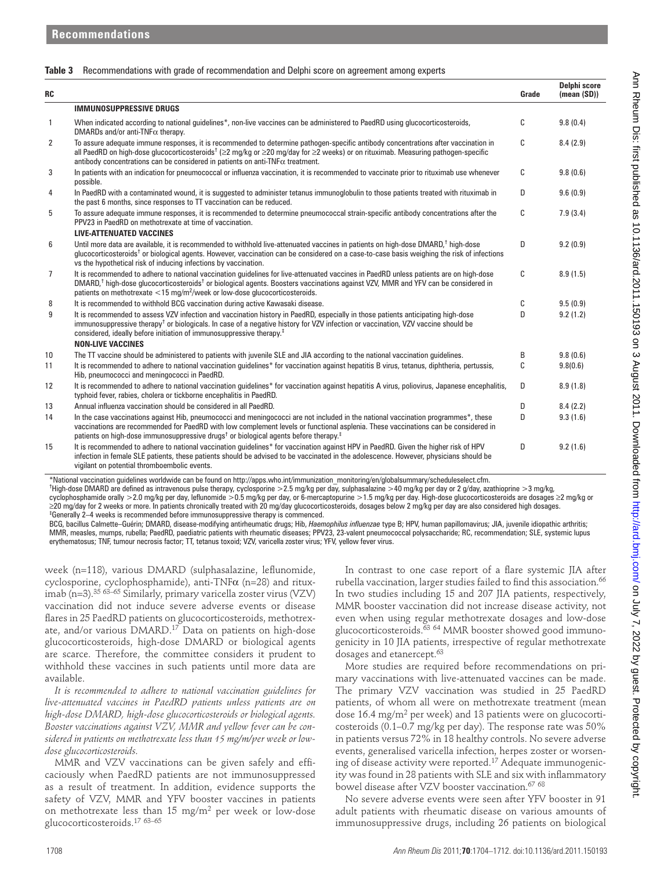## **Table 3** Recommendations with grade of recommendation and Delphi score on agreement among experts

|                |                                                                                                                                                                                                                                                                                                                                                                                                                                                                                                                                                                                                                                                                                                                                                                                                                                                                                                                                                                 |                                                                                                                                                                                                                                                                                    | Grade  | (mean (SD))          |
|----------------|-----------------------------------------------------------------------------------------------------------------------------------------------------------------------------------------------------------------------------------------------------------------------------------------------------------------------------------------------------------------------------------------------------------------------------------------------------------------------------------------------------------------------------------------------------------------------------------------------------------------------------------------------------------------------------------------------------------------------------------------------------------------------------------------------------------------------------------------------------------------------------------------------------------------------------------------------------------------|------------------------------------------------------------------------------------------------------------------------------------------------------------------------------------------------------------------------------------------------------------------------------------|--------|----------------------|
|                | <b>IMMUNOSUPPRESSIVE DRUGS</b>                                                                                                                                                                                                                                                                                                                                                                                                                                                                                                                                                                                                                                                                                                                                                                                                                                                                                                                                  |                                                                                                                                                                                                                                                                                    |        |                      |
| 1              | When indicated according to national guidelines*, non-live vaccines can be administered to PaedRD using glucocorticosteroids,<br>DMARDs and/or anti-TNF $\alpha$ therapy.                                                                                                                                                                                                                                                                                                                                                                                                                                                                                                                                                                                                                                                                                                                                                                                       |                                                                                                                                                                                                                                                                                    | С      | 9.8(0.4)             |
| 2              | To assure adequate immune responses, it is recommended to determine pathogen-specific antibody concentrations after vaccination in<br>all PaedRD on high-dose glucocorticosteroids <sup>†</sup> (≥2 mg/kg or ≥20 mg/day for ≥2 weeks) or on rituximab. Measuring pathogen-specific<br>antibody concentrations can be considered in patients on anti-TNF $\alpha$ treatment.                                                                                                                                                                                                                                                                                                                                                                                                                                                                                                                                                                                     |                                                                                                                                                                                                                                                                                    | С      | 8.4(2.9)             |
| 3              | In patients with an indication for pneumococcal or influenza vaccination, it is recommended to vaccinate prior to rituximab use whenever<br>possible.                                                                                                                                                                                                                                                                                                                                                                                                                                                                                                                                                                                                                                                                                                                                                                                                           |                                                                                                                                                                                                                                                                                    | С      | 9.8(0.6)             |
| 4              | In PaedRD with a contaminated wound, it is suggested to administer tetanus immunoglobulin to those patients treated with rituximab in<br>the past 6 months, since responses to TT vaccination can be reduced.                                                                                                                                                                                                                                                                                                                                                                                                                                                                                                                                                                                                                                                                                                                                                   |                                                                                                                                                                                                                                                                                    | D      | 9.6(0.9)             |
| 5              | To assure adequate immune responses, it is recommended to determine pneumococcal strain-specific antibody concentrations after the<br>PPV23 in PaedRD on methotrexate at time of vaccination.                                                                                                                                                                                                                                                                                                                                                                                                                                                                                                                                                                                                                                                                                                                                                                   |                                                                                                                                                                                                                                                                                    | C      | 7.9(3.4)             |
| 6              | <b>LIVE-ATTENUATED VACCINES</b><br>Until more data are available, it is recommended to withhold live-attenuated vaccines in patients on high-dose DMARD, <sup>†</sup> high-dose<br>glucocorticosteroids <sup>†</sup> or biological agents. However, vaccination can be considered on a case-to-case basis weighing the risk of infections<br>vs the hypothetical risk of inducing infections by vaccination.                                                                                                                                                                                                                                                                                                                                                                                                                                                                                                                                                    |                                                                                                                                                                                                                                                                                    | D      | 9.2(0.9)             |
| $\overline{7}$ | It is recommended to adhere to national vaccination guidelines for live-attenuated vaccines in PaedRD unless patients are on high-dose<br>DMARD, <sup>†</sup> high-dose glucocorticosteroids <sup>†</sup> or biological agents. Boosters vaccinations against VZV, MMR and YFV can be considered in<br>patients on methotrexate $<$ 15 mg/m <sup>2</sup> /week or low-dose glucocorticosteroids.                                                                                                                                                                                                                                                                                                                                                                                                                                                                                                                                                                |                                                                                                                                                                                                                                                                                    | С      | 8.9(1.5)             |
| 8              | It is recommended to withhold BCG vaccination during active Kawasaki disease.                                                                                                                                                                                                                                                                                                                                                                                                                                                                                                                                                                                                                                                                                                                                                                                                                                                                                   |                                                                                                                                                                                                                                                                                    | С      | 9.5(0.9)             |
| 9              | It is recommended to assess VZV infection and vaccination history in PaedRD, especially in those patients anticipating high-dose<br>immunosuppressive therapy <sup>†</sup> or biologicals. In case of a negative history for VZV infection or vaccination, VZV vaccine should be<br>considered, ideally before initiation of immunosuppressive therapy. <sup>#</sup><br><b>NON-LIVE VACCINES</b>                                                                                                                                                                                                                                                                                                                                                                                                                                                                                                                                                                |                                                                                                                                                                                                                                                                                    | D      | 9.2(1.2)             |
| 10<br>11       | The TT vaccine should be administered to patients with juvenile SLE and JIA according to the national vaccination guidelines.<br>It is recommended to adhere to national vaccination quidelines* for vaccination against hepatitis B virus, tetanus, diphtheria, pertussis,<br>Hib, pneumococci and meningococci in PaedRD.                                                                                                                                                                                                                                                                                                                                                                                                                                                                                                                                                                                                                                     |                                                                                                                                                                                                                                                                                    | B<br>C | 9.8(0.6)<br>9.8(0.6) |
| 12             | It is recommended to adhere to national vaccination guidelines* for vaccination against hepatitis A virus, poliovirus, Japanese encephalitis,<br>typhoid fever, rabies, cholera or tickborne encephalitis in PaedRD.                                                                                                                                                                                                                                                                                                                                                                                                                                                                                                                                                                                                                                                                                                                                            |                                                                                                                                                                                                                                                                                    | D      | 8.9(1.8)             |
| 13             | Annual influenza vaccination should be considered in all PaedRD.                                                                                                                                                                                                                                                                                                                                                                                                                                                                                                                                                                                                                                                                                                                                                                                                                                                                                                |                                                                                                                                                                                                                                                                                    | D      | 8.4(2.2)             |
| 14             | In the case vaccinations against Hib, pneumococci and meningococci are not included in the national vaccination programmes*, these<br>vaccinations are recommended for PaedRD with low complement levels or functional asplenia. These vaccinations can be considered in<br>patients on high-dose immunosuppressive drugs <sup>†</sup> or biological agents before therapy. <sup>‡</sup>                                                                                                                                                                                                                                                                                                                                                                                                                                                                                                                                                                        |                                                                                                                                                                                                                                                                                    | D      | 9.3(1.6)             |
| 15             | It is recommended to adhere to national vaccination guidelines* for vaccination against HPV in PaedRD. Given the higher risk of HPV                                                                                                                                                                                                                                                                                                                                                                                                                                                                                                                                                                                                                                                                                                                                                                                                                             |                                                                                                                                                                                                                                                                                    | D      | 9.2(1.6)             |
|                | infection in female SLE patients, these patients should be advised to be vaccinated in the adolescence. However, physicians should be<br>vigilant on potential thromboembolic events.<br>*National vaccination guidelines worldwide can be found on http://apps.who.int/immunization monitoring/en/globalsummary/scheduleselect.cfm.<br>†High-dose DMARD are defined as intravenous pulse therapy, cyclosporine >2.5 mg/kg per day, sulphasalazine >40 mg/kg per day or 2 g/day, azathioprine >3 mg/kg,<br>cyclophosphamide orally >2.0 mg/kg per day, leflunomide >0.5 mg/kg per day, or 6-mercaptopurine >1.5 mg/kg per day. High-dose glucocorticosteroids are dosages ≥2 mg/kg or<br>≥20 mg/day for 2 weeks or more. In patients chronically treated with 20 mg/day glucocorticosteroids, dosages below 2 mg/kg per day are also considered high dosages.<br><sup>‡</sup> Generally 2-4 weeks is recommended before immunosuppressive therapy is commenced. |                                                                                                                                                                                                                                                                                    |        |                      |
|                | BCG, bacillus Calmette-Guérin; DMARD, disease-modifying antirheumatic drugs; Hib, Haemophilus influenzae type B; HPV, human papillomavirus; JIA, juvenile idiopathic arthritis;<br>MMR, measles, mumps, rubella; PaedRD, paediatric patients with rheumatic diseases; PPV23, 23-valent pneumococcal polysaccharide; RC, recommendation; SLE, systemic lupus<br>erythematosus; TNF, tumour necrosis factor; TT, tetanus toxoid; VZV, varicella zoster virus; YFV, yellow fever virus.                                                                                                                                                                                                                                                                                                                                                                                                                                                                            |                                                                                                                                                                                                                                                                                    |        |                      |
|                | week (n=118), various DMARD (sulphasalazine, leflunomide,<br>cyclosporine, cyclophosphamide), anti-TNFα (n=28) and ritux-<br>imab (n=3). <sup>35 63-65</sup> Similarly, primary varicella zoster virus (VZV)                                                                                                                                                                                                                                                                                                                                                                                                                                                                                                                                                                                                                                                                                                                                                    | In contrast to one case report of a flare systemic JIA after<br>rubella vaccination, larger studies failed to find this association. <sup>66</sup><br>In two studies including 15 and 207 JIA patients, respectively,                                                              |        |                      |
|                | vaccination did not induce severe adverse events or disease<br>flares in 25 PaedRD patients on glucocorticosteroids, methotrex-                                                                                                                                                                                                                                                                                                                                                                                                                                                                                                                                                                                                                                                                                                                                                                                                                                 | MMR booster vaccination did not increase disease activity, not<br>even when using regular methotrexate dosages and low-dose                                                                                                                                                        |        |                      |
|                | ate, and/or various DMARD. <sup>17</sup> Data on patients on high-dose<br>glucocorticosteroids, high-dose DMARD or biological agents<br>are scarce. Therefore, the committee considers it prudent to                                                                                                                                                                                                                                                                                                                                                                                                                                                                                                                                                                                                                                                                                                                                                            | glucocorticosteroids. <sup>63</sup> <sup>64</sup> MMR booster showed good immuno-<br>genicity in 10 JIA patients, irrespective of regular methotrexate<br>dosages and etanercept. <sup>63</sup>                                                                                    |        |                      |
|                | withhold these vaccines in such patients until more data are<br>available.                                                                                                                                                                                                                                                                                                                                                                                                                                                                                                                                                                                                                                                                                                                                                                                                                                                                                      | More studies are required before recommendations on pri-<br>mary vaccinations with live-attenuated vaccines can be made.                                                                                                                                                           |        |                      |
|                | It is recommended to adhere to national vaccination guidelines for<br>live-attenuated vaccines in PaedRD patients unless patients are on                                                                                                                                                                                                                                                                                                                                                                                                                                                                                                                                                                                                                                                                                                                                                                                                                        | The primary VZV vaccination was studied in 25 PaedRD<br>patients, of whom all were on methotrexate treatment (mean                                                                                                                                                                 |        |                      |
|                | high-dose DMARD, high-dose glucocorticosteroids or biological agents.<br>Booster vaccinations against VZV, MMR and yellow fever can be con-<br>sidered in patients on methotrexate less than 15 mg/m/per week or low-<br>dose glucocorticosteroids.                                                                                                                                                                                                                                                                                                                                                                                                                                                                                                                                                                                                                                                                                                             | dose $16.4 \text{ mg/m}^2$ per week) and 13 patients were on glucocorti-<br>costeroids (0.1–0.7 mg/kg per day). The response rate was 50%<br>in patients versus 72% in 18 healthy controls. No severe adverse<br>events, generalised varicella infection, herpes zoster or worsen- |        |                      |
|                | MMR and VZV vaccinations can be given safely and effi-<br>caciously when PaedRD patients are not immunosuppressed<br>as a result of treatment. In addition, evidence supports the                                                                                                                                                                                                                                                                                                                                                                                                                                                                                                                                                                                                                                                                                                                                                                               | ing of disease activity were reported. <sup>17</sup> Adequate immunogenic-<br>ity was found in 28 patients with SLE and six with inflammatory<br>bowel disease after VZV booster vaccination. <sup>67 68</sup>                                                                     |        |                      |
|                | safety of VZV, MMR and YFV booster vaccines in patients<br>on methotrexate less than 15 mg/m <sup>2</sup> per week or low-dose<br>glucocorticosteroids. <sup>17 63-65</sup>                                                                                                                                                                                                                                                                                                                                                                                                                                                                                                                                                                                                                                                                                                                                                                                     | No severe adverse events were seen after YFV booster in 91<br>adult patients with rheumatic disease on various amounts of<br>immunosuppressive drugs, including 26 patients on biological                                                                                          |        |                      |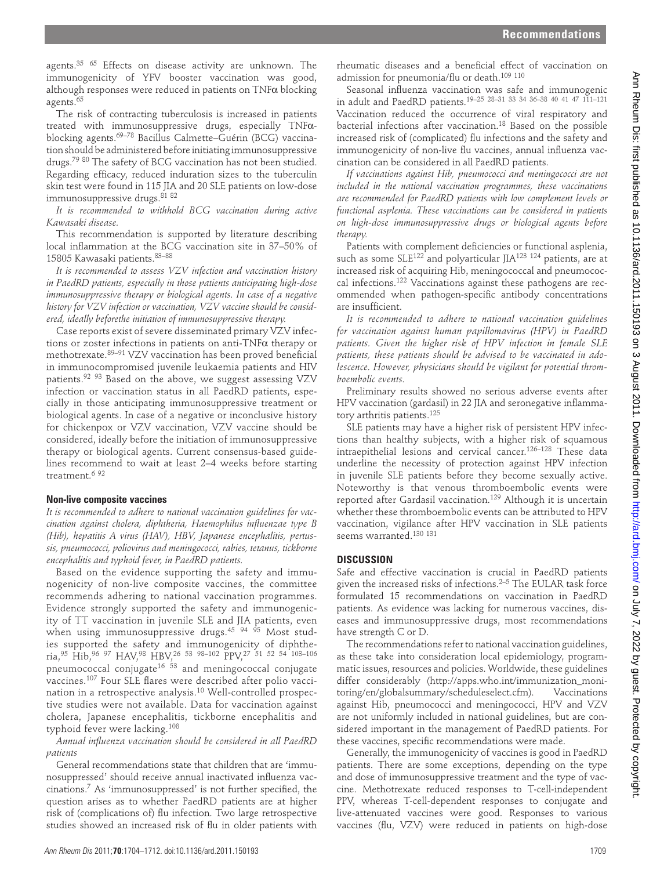agents.<sup>35 65</sup> Effects on disease activity are unknown. The immunogenicity of YFV booster vaccination was good, although responses were reduced in patients on  $\text{TNF}\alpha$  blocking agents. 65

The risk of contracting tuberculosis is increased in patients treated with immunosuppressive drugs, especially TNFαblocking agents.<sup>69–78</sup> Bacillus Calmette–Guérin (BCG) vaccination should be administered before initiating immunosuppressive drugs.<sup>79 80</sup> The safety of BCG vaccination has not been studied. Regarding efficacy, reduced induration sizes to the tuberculin skin test were found in 115 JIA and 20 SLE patients on low-dose immunosuppressive drugs. 81 82

*It is recommended to withhold BCG vaccination during active Kawasaki disease.*

This recommendation is supported by literature describing local inflammation at the BCG vaccination site in 37-50% of 15805 Kawasaki patients. 83–88

*It is recommended to assess VZV infection and vaccination history in PaedRD patients, especially in those patients anticipating high-dose immunosuppressive therapy or biological agents. In case of a negative history for VZV infection or vaccination, VZV vaccine should be considered, ideally beforethe initiation of immunosuppressive therapy.*

Case reports exist of severe disseminated primary VZV infections or zoster infections in patients on anti-TNFα therapy or methotrexate. 89-91 VZV vaccination has been proved beneficial in immunocompromised juvenile leukaemia patients and HIV patients. 92 93 Based on the above, we suggest assessing VZV infection or vaccination status in all PaedRD patients, especially in those anticipating immunosuppressive treatment or biological agents. In case of a negative or inconclusive history for chickenpox or VZV vaccination, VZV vaccine should be considered, ideally before the initiation of immunosuppressive therapy or biological agents. Current consensus-based guidelines recommend to wait at least 2–4 weeks before starting treatment.<sup>6 92</sup>

#### **Non-live composite vaccines**

*It is recommended to adhere to national vaccination guidelines for vaccination against cholera, diphtheria, Haemophilus influenzae type B (Hib), hepatitis A virus (HAV), HBV, Japanese encephalitis, pertussis, pneumococci, poliovirus and meningococci, rabies, tetanus, tickborne encephalitis and typhoid fever, in PaedRD patients.*

Based on the evidence supporting the safety and immunogenicity of non-live composite vaccines, the committee recommends adhering to national vaccination programmes. Evidence strongly supported the safety and immunogenicity of TT vaccination in juvenile SLE and JIA patients, even when using immunosuppressive drugs. 45 94 95 Most studies supported the safety and immunogenicity of diphtheria, 95 Hib, 96 97 HAV, 98 HBV, 26 53 98–102 PPV, 27 51 52 54 103–106 pneumococcal conjugate<sup>16 53</sup> and meningococcal conjugate vaccines.<sup>107</sup> Four SLE flares were described after polio vaccination in a retrospective analysis. 10 Well-controlled prospective studies were not available. Data for vaccination against cholera, Japanese encephalitis, tickborne encephalitis and typhoid fever were lacking. 108 INER (and the international control of the international control of the international control of the international control of the international control of the international control of the international control of the in

Annual influenza vaccination should be considered in all PaedRD *patients*

General recommendations state that children that are 'immunosuppressed' should receive annual inactivated influenza vac $cinations.<sup>7</sup>$  As 'immunosuppressed' is not further specified, the question arises as to whether PaedRD patients are at higher risk of (complications of) flu infection. Two large retrospective studies showed an increased risk of flu in older patients with

rheumatic diseases and a beneficial effect of vaccination on admission for pneumonia/flu or death.<sup>109 110</sup>

Seasonal influenza vaccination was safe and immunogenic in adult and PaedRD patients. 19–25 28–31 33 34 36–38 40 41 47 111–121 Vaccination reduced the occurrence of viral respiratory and bacterial infections after vaccination. 18 Based on the possible increased risk of (complicated) flu infections and the safety and immunogenicity of non-live flu vaccines, annual influenza vaccination can be considered in all PaedRD patients.

*If vaccinations against Hib, pneumococci and meningococci are not included in the national vaccination programmes, these vaccinations are recommended for PaedRD patients with low complement levels or functional asplenia. These vaccinations can be considered in patients on high-dose immunosuppressive drugs or biological agents before therapy.*

Patients with complement deficiencies or functional asplenia, such as some  $SLE^{122}$  and polyarticular JIA<sup>123 124</sup> patients, are at increased risk of acquiring Hib, meningococcal and pneumococcal infections. 122 Vaccinations against these pathogens are recommended when pathogen-specific antibody concentrations are insufficient.

*It is recommended to adhere to national vaccination guidelines for vaccination against human papillomavirus (HPV) in PaedRD patients. Given the higher risk of HPV infection in female SLE patients, these patients should be advised to be vaccinated in adolescence. However, physicians should be vigilant for potential thromboembolic events.*

Preliminary results showed no serious adverse events after HPV vaccination (gardasil) in 22 JIA and seronegative inflammatory arthritis patients. 125

SLE patients may have a higher risk of persistent HPV infections than healthy subjects, with a higher risk of squamous intraepithelial lesions and cervical cancer. 126–128 These data underline the necessity of protection against HPV infection in juvenile SLE patients before they become sexually active. Noteworthy is that venous thromboembolic events were reported after Gardasil vaccination. 129 Although it is uncertain whether these thromboembolic events can be attributed to HPV vaccination, vigilance after HPV vaccination in SLE patients seems warranted.<sup>130</sup><sup>131</sup>

## **DISCUSSION**

Safe and effective vaccination is crucial in PaedRD patients given the increased risks of infections. 2–5 The EULAR task force formulated 15 recommendations on vaccination in PaedRD patients. As evidence was lacking for numerous vaccines, diseases and immunosuppressive drugs, most recommendations have strength C or D.

The recommendations refer to national vaccination guidelines, as these take into consideration local epidemiology, programmatic issues, resources and policies. Worldwide, these guidelines differ considerably (http://apps.who.int/immunization\_monitoring/en/globalsummary/scheduleselect.cfm ). Vaccinations against Hib, pneumococci and meningococci, HPV and VZV are not uniformly included in national guidelines, but are considered important in the management of PaedRD patients. For these vaccines, specific recommendations were made.

Generally, the immunogenicity of vaccines is good in PaedRD patients. There are some exceptions, depending on the type and dose of immunosuppressive treatment and the type of vaccine. Methotrexate reduced responses to T-cell-independent PPV, whereas T-cell-dependent responses to conjugate and live-attenuated vaccines were good. Responses to various vaccines (flu, VZV) were reduced in patients on high-dose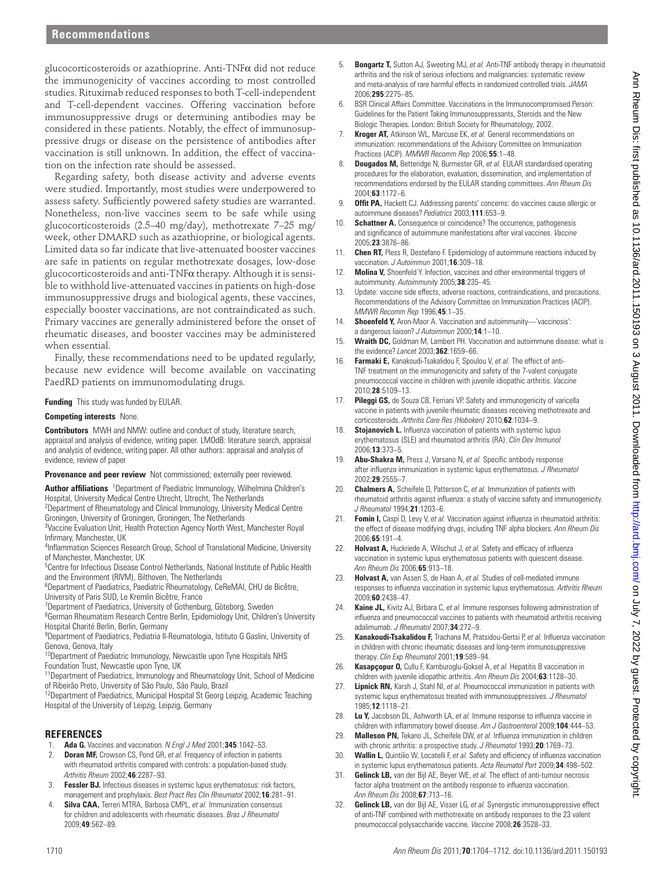glucocorticosteroids or azathioprine. Anti-TNFα did not reduce the immunogenicity of vaccines according to most controlled studies. Rituximab reduced responses to both T-cell-independent and T-cell-dependent vaccines. Offering vaccination before immunosuppressive drugs or determining antibodies may be considered in these patients. Notably, the effect of immunosuppressive drugs or disease on the persistence of antibodies after vaccination is still unknown. In addition, the effect of vaccination on the infection rate should be assessed.

Regarding safety, both disease activity and adverse events were studied. Importantly, most studies were underpowered to assess safety. Sufficiently powered safety studies are warranted. Nonetheless, non-live vaccines seem to be safe while using glucocorticosteroids (2.5–40 mg/day), methotrexate 7–25 mg/ week, other DMARD such as azathioprine, or biological agents. Limited data so far indicate that live-attenuated booster vaccines are safe in patients on regular methotrexate dosages, low-dose glucocorticosteroids and anti-TNFα therapy. Although it is sensible to withhold live-attenuated vaccines in patients on high-dose immunosuppressive drugs and biological agents, these vaccines, especially booster vaccinations, are not contraindicated as such. Primary vaccines are generally administered before the onset of rheumatic diseases, and booster vaccines may be administered when essential. 02. annex de la composició de la composició de la composició de la composició de la composició de la composició de la composició de la composició de la composició de la composició de la composició de la composició de la

Finally, these recommendations need to be updated regularly, because new evidence will become available on vaccinating PaedRD patients on immunomodulating drugs.

**Funding** This study was funded by EULAR.

#### **Competing interests** None.

 **Contributors** MWH and NMW: outline and conduct of study, literature search, appraisal and analysis of evidence, writing paper. LMOdB: literature search, appraisal and analysis of evidence, writing paper. All other authors: appraisal and analysis of evidence, review of paper

**Provenance and peer review** Not commissioned; externally peer reviewed.

Author affiliations <sup>1</sup>Department of Paediatric Immunology, Wilhelmina Children's Hospital, University Medical Centre Utrecht, Utrecht, The Netherlands 2 Department of Rheumatology and Clinical Immunology, University Medical Centre

Groningen, University of Groningen, Groningen, The Netherlands

<sup>3</sup>Vaccine Evaluation Unit, Health Protection Agency North West, Manchester Royal Infirmary, Manchester, UK

<sup>4</sup>Inflammation Sciences Research Group, School of Translational Medicine, University of Manchester, Manchester, UK

<sup>5</sup>Centre for Infectious Disease Control Netherlands, National Institute of Public Health and the Environment (RIVM), Bilthoven, The Netherlands

<sup>6</sup>Department of Paediatrics, Paediatric Rheumatology, CeReMAI, CHU de Bicêtre, University of Paris SUD, Le Kremlin Bicêtre, France

<sup>7</sup>Department of Paediatrics, University of Gothenburg, Göteborg, Sweden

<sup>8</sup>German Rheumatism Research Centre Berlin, Epidemiology Unit, Children's University Hospital Charité Berlin, Berlin, Germany

<sup>9</sup>Department of Paediatrics, Pediatria II-Reumatologia, Istituto G Gaslini, University of Genova, Genova, Italy

<sup>10</sup> Department of Paediatric Immunology, Newcastle upon Tyne Hospitals NHS Foundation Trust, Newcastle upon Tyne, UK

<sup>11</sup> Department of Paediatrics, Immunology and Rheumatology Unit, School of Medicine of Ribeirão Preto, University of São Paulo, São Paulo, Brazil

<sup>12</sup> Department of Paediatrics, Municipal Hospital St Georg Leipzig, Academic Teaching Hospital of the University of Leipzig, Leipzig, Germany

# **REFERENCES**

- 1. **Ada G.** Vaccines and vaccination. *N Engl J Med* 2001 ; **345** : 1042 53 .
- 2. **Doran MF,** Crowson CS, Pond GR, *et al.* Frequency of infection in patients with rheumatoid arthritis compared with controls: a population-based study. *Arthritis Rheum* 2002 ; **46** : 2287 – 93 .
- 3. **Fessler BJ.** Infectious diseases in systemic lupus erythematosus: risk factors, management and prophylaxis. *Best Pract Res Clin Rheumatol* 2002;16:281-91.
- 4. **Silva CAA,** Terreri MTRA, Barbosa CMPL, *et al.* Immunization consensus for children and adolescents with rheumatic diseases . *Bras J Rheumatol* 2009 ; **49** : 562 – 89 .
- 5. **Bongartz T,** Sutton AJ, Sweeting MJ, *et al.* Anti-TNF antibody therapy in rheumatoid arthritis and the risk of serious infections and malignancies: systematic review and meta-analysis of rare harmful effects in randomized controlled trials. *JAMA* 2006 ; **295** : 2275 – 85 .
- 6. BSR Clinical Affairs Committee . Vaccinations in the Immunocompromised Person: Guidelines for the Patient Taking Immunosuppressants, Steroids and the New Biologic Therapies. London: British Society for Rheumatology, 2002.
- 7. **Kroger AT,** Atkinson WL, Marcuse EK, *et al.* General recommendations on immunization: recommendations of the Advisory Committee on Immunization Practices (ACIP). *MMWR Recomm Rep* 2006;55:1-48.
- 8. **Dougados M,** Betteridge N, Burmester GR, *et al.* EULAR standardised operating procedures for the elaboration, evaluation, dissemination, and implementation of recommendations endorsed by the EULAR standing committees. *Ann Rheum Dis* 2004 ; **63** : 1172 – 6 .
- 9. **Offit PA, Hackett CJ. Addressing parents' concerns: do vaccines cause allergic or** autoimmune diseases? *Pediatrics* 2003 ; **111** : 653 – 9 .
- 10. **Schattner A.** Consequence or coincidence? The occurrence, pathogenesis and significance of autoimmune manifestations after viral vaccines. *Vaccine* 2005 ; **23** : 3876 – 86 .
- 11. **Chen RT,** Pless R, Destefano F. Epidemiology of autoimmune reactions induced by vaccination. *J Autoimmun* 2001 ; **16** : 309 – 18 .
- 12. **Molina V,** Shoenfeld Y. Infection, vaccines and other environmental triggers of autoimmunity. *Autoimmunity* 2005 ; **38** : 235 – 45 .
- 13. Update: vaccine side effects, adverse reactions, contraindications, and precautions . Recommendations of the Advisory Committee on Immunization Practices (ACIP) . *MMWR Recomm Rep* 1996 ; **45** : 1 – 35 .
- 14. **Shoenfeld Y,** Aron-Maor A. Vaccination and autoimmunity-'vaccinosis': a dangerous liaison? *J Autoimmun* 2000 ; **14** : 1 – 10 .
- 15. **Wraith DC,** Goldman M, Lambert PH. Vaccination and autoimmune disease: what is the evidence? *Lancet* 2003 ; **362** : 1659 – 66 .
- 16. **Farmaki E,** Kanakoudi-Tsakalidou F, Spoulou V, *et al.* The effect of anti-TNF treatment on the immunogenicity and safety of the 7-valent conjugate pneumococcal vaccine in children with juvenile idiopathic arthritis. *Vaccine* 2010 ; **28** : 5109 – 13 .
- 17. **Pileggi GS,** de Souza CB, Ferriani VP. Safety and immunogenicity of varicella vaccine in patients with juvenile rheumatic diseases receiving methotrexate and corticosteroids. Arthritis Care Res (Hoboken) 2010;62:1034-9.
- 18. **Stojanovich L.** Influenza vaccination of patients with systemic lupus erythematosus (SLE) and rheumatoid arthritis (RA). *Clin Dev Immunol* 2006 ; **13** : 373 – 5 .
- 19. **Abu-Shakra M,** Press J, Varsano N, et al. Specific antibody response after influenza immunization in systemic lupus erythematosus. *J Rheumatol* 2002 ; **29** : 2555 – 7 .
- 20. **Chalmers A,** Scheifele D, Patterson C, *et al.* Immunization of patients with rheumatoid arthritis against influenza: a study of vaccine safety and immunogenicity. *J Rheumatol* 1994 ; **21** : 1203 – 6 .
- 21. **Fomin I,** Caspi D, Levy V, et al. Vaccination against influenza in rheumatoid arthritis: the effect of disease modifying drugs, including TNF alpha blockers. *Ann Rheum Dis* 2006 ; **65** : 191 – 4 .
- 22. **Holvast A, Huckriede A, Wilschut J, et al. Safety and efficacy of influenza** vaccination in systemic lupus erythematosus patients with quiescent disease. *Ann Rheum Dis* 2006 ; **65** : 913 – 18 .
- 23. **Holvast A,** van Assen S, de Haan A, *et al.* Studies of cell-mediated immune responses to influenza vaccination in systemic lupus erythematosus. Arthritis Rheum 2009 ; **60** : 2438 – 47 .
- 24. **Kaine JL,** Kivitz AJ, Birbara C, *et al.* Immune responses following administration of influenza and pneumococcal vaccines to patients with rheumatoid arthritis receiving adalimumab. *J Rheumatol* 2007 ; **34** : 272 – 9 .
- 25. **Kanakoudi-Tsakalidou F,** Trachana M, Pratsidou-Gertsi P, et al. Influenza vaccination in children with chronic rheumatic diseases and long-term immunosuppressive therapy. *Clin Exp Rheumatol* 2001 ; **19** : 589 – 94 .
- 26. **Kasapçopur O,** Cullu F, Kamburoglu-Goksel A, *et al.* Hepatitis B vaccination in children with juvenile idiopathic arthritis. Ann Rheum Dis 2004;63:1128-30.
- 27. **Lipnick RN,** Karsh J, Stahl NI, *et al.* Pneumococcal immunization in patients with systemic lupus erythematosus treated with immunosuppressives. *J Rheumatol* 1985 ; **12** : 1118 – 21 .
- 28. **Lu Y,** Jacobson DL, Ashworth LA, et al. Immune response to influenza vaccine in children with inflammatory bowel disease. Am J Gastroenterol 2009;104:444-53.
- 29. **Malleson PN,** Tekano JL, Scheifele DW, et al. Influenza immunization in children with chronic arthritis: a prospective study. *J Rheumatol* 1993;20:1769-73.
- 30. **Wallin L,** Quintilio W, Locatelli F, et al. Safety and efficiency of influenza vaccination in systemic lupus erythematosus patients. Acta Reumatol Port 2009;34:498-502.
- 31. **Gelinck LB,** van der Bijl AE, Beyer WE, *et al.* The effect of anti-tumour necrosis factor alpha treatment on the antibody response to influenza vaccination. *Ann Rheum Dis* 2008 ; **67** : 713 – 16 .
- 32. **Gelinck LB,** van der Bijl AE, Visser LG, *et al.* Synergistic immunosuppressive effect of anti-TNF combined with methotrexate on antibody responses to the 23 valent pneumococcal polysaccharide vaccine. *Vaccine* 2008;26:3528-33.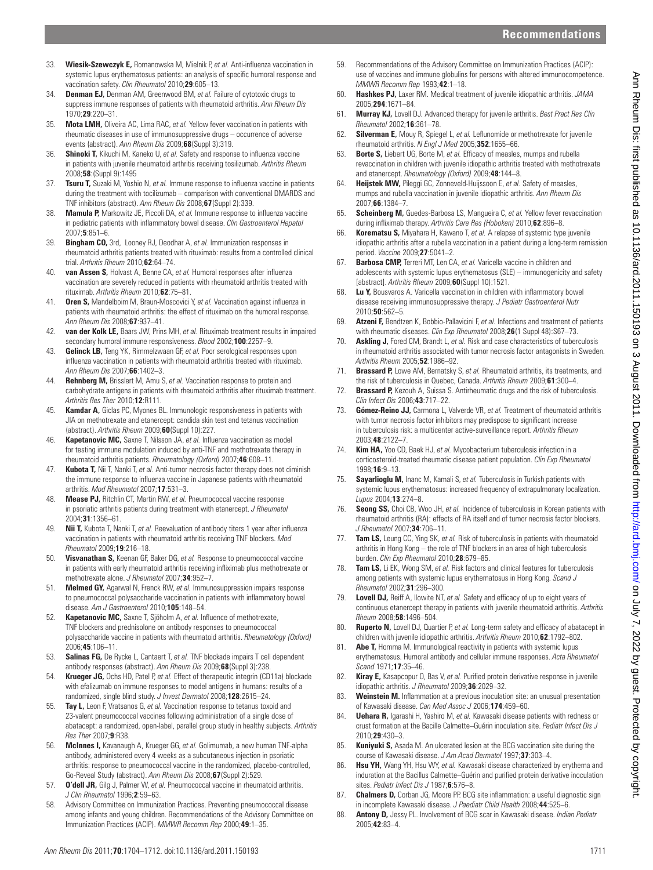- 33. **Wiesik-Szewczyk E,** Romanowska M, Mielnik P, et al. Anti-influenza vaccination in systemic lupus erythematosus patients: an analysis of specific humoral response and vaccination safety. *Clin Rheumatol* 2010;29:605-13.
- 34. **Denman EJ,** Denman AM, Greenwood BM, *et al.* Failure of cytotoxic drugs to suppress immune responses of patients with rheumatoid arthritis. *Ann Rheum Dis* 1970 ; **29** : 220 – 31 .
- 35. **Mota LMH,** Oliveira AC, Lima RAC, *et al.* Yellow fever vaccination in patients with rheumatic diseases in use of immunosuppressive drugs – occurrence of adverse events (abstract). Ann Rheum Dis 2009;68 (Suppl 3):319.
- 36. **Shinoki T,** Kikuchi M, Kaneko U, et al. Safety and response to influenza vaccine in patients with juvenile rheumatoid arthritis receiving tosilizumab . *Arthritis Rheum* 2008 ; **58** : (Suppl 9):1495
- 37. **Tsuru T,** Suzaki M, Yoshio N, et al. Immune response to influenza vaccine in patients during the treatment with tocilizumab – comparison with conventional DMARDS and TNF inhibitors (abstract). *Ann Rheum Dis* 2008;67 (Suppl 2):339
- 38. **Mamula P,** Markowitz JE, Piccoli DA, et al. Immune response to influenza vaccine in pediatric patients with inflammatory bowel disease. *Clin Gastroenterol Hepatol* 2007 ; **5** : 851 – 6 .
- 39. **Bingham CO,** 3rd, Looney RJ, Deodhar A, *et al.* Immunization responses in rheumatoid arthritis patients treated with rituximab: results from a controlled clinical trial. *Arthritis Rheum* 2010 ; **62** : 64 – 74 .
- 40. **van Assen S, Holvast A, Benne CA, et al. Humoral responses after influenza** vaccination are severely reduced in patients with rheumatoid arthritis treated with rituximab. *Arthritis Rheum* 2010 ; **62** : 75 – 81 .
- 41. **Oren S,** Mandelboim M, Braun-Moscovici Y, et al. Vaccination against influenza in patients with rheumatoid arthritis: the effect of rituximab on the humoral response. *Ann Rheum Dis* 2008 ; **67** : 937 – 41 .
- 42. **van der Kolk LE,** Baars JW, Prins MH, *et al.* Rituximab treatment results in impaired secondary humoral immune responsiveness. *Blood* 2002;100:2257-9.
- 43. **Gelinck LB,** Teng YK, Rimmelzwaan GF, *et al.* Poor serological responses upon influenza vaccination in patients with rheumatoid arthritis treated with rituximab. *Ann Rheum Dis* 2007 ; **66** : 1402 – 3 .
- 44. **Rehnberg M,** Brisslert M, Amu S, *et al.* Vaccination response to protein and carbohydrate antigens in patients with rheumatoid arthritis after rituximab treatment. *Arthritis Res Ther* 2010 ; **12** : R111 .
- 45. **Kamdar A,** Giclas PC, Myones BL. Immunologic responsiveness in patients with JIA on methotrexate and etanercept: candida skin test and tetanus vaccination (abstract) . *Arthritis Rheum* 2009 ; **60** ( Suppl 10 ): 227 .
- 46. **Kapetanovic MC,** Saxne T, Nilsson JA, et al. Influenza vaccination as model for testing immune modulation induced by anti-TNF and methotrexate therapy in rheumatoid arthritis patients. *Rheumatology (Oxford)* 2007 ; **46** : 608 – 11 .
- Kubota T, Nii T, Nanki T, et al. Anti-tumor necrosis factor therapy does not diminish the immune response to influenza vaccine in Japanese patients with rheumatoid arthritis. *Mod Rheumatol* 2007 ; **17** : 531 – 3 .
- 48. **Mease PJ,** Ritchlin CT, Martin RW, *et al.* Pneumococcal vaccine response in psoriatic arthritis patients during treatment with etanercept. *J Rheumatol* 2004 ; **31** : 1356 – 61 .
- 49. **Nii T,** Kubota T, Nanki T, et al. Reevaluation of antibody titers 1 year after influenza vaccination in patients with rheumatoid arthritis receiving TNF blockers. *Mod Rheumatol* 2009 ; **19** : 216 – 18 .
- 50. **Visvanathan S,** Keenan GF, Baker DG, *et al.* Response to pneumococcal vaccine in patients with early rheumatoid arthritis receiving infliximab plus methotrexate or methotrexate alone. *J Rheumatol* 2007:34:952-7
- 51. **Melmed GY,** Agarwal N, Frenck RW, *et al.* Immunosuppression impairs response to pneumococcal polysaccharide vaccination in patients with inflammatory bowel disease. *Am J Gastroenterol* 2010 ; **105** : 148 – 54 .
- 52. **Kapetanovic MC,** Saxne T, Sjöholm A, et al. Influence of methotrexate, TNF blockers and prednisolone on antibody responses to pneumococcal polysaccharide vaccine in patients with rheumatoid arthritis. *Rheumatology (Oxford)* 2006 ; **45** : 106 – 11 .
- 53. **Salinas FG,** De Rycke L, Cantaert T, *et al.* TNF blockade impairs T cell dependent antibody responses (abstract). Ann Rheum Dis 2009;68 (Suppl 3):238
- 54. **Krueger JG,** Ochs HD, Patel P, *et al.* Effect of therapeutic integrin (CD11a) blockade with efalizumab on immune responses to model antigens in humans: results of a randomized, single blind study. *J Invest Dermatol* 2008;128:2615-24.
- 55. **Tay L,** Leon F, Vratsanos G, *et al.* Vaccination response to tetanus toxoid and 23-valent pneumococcal vaccines following administration of a single dose of abatacept: a randomized, open-label, parallel group study in healthy subjects. *Arthritis Res Ther* 2007 ; **9** : R38 .
- 56. **McInnes I,** Kavanaugh A, Krueger GG, *et al.* Golimumab, a new human TNF-alpha antibody, administered every 4 weeks as a subcutaneous injection in psoriatic arthritis: response to pneumococcal vaccine in the randomized, placebo-controlled, Go-Reveal Study (abstract). Ann Rheum Dis 2008;67 (Suppl 2):529.
- 57. **O'dell JR,** Gilg J, Palmer W, *et al.* Pneumococcal vaccine in rheumatoid arthritis. *J Clin Rheumatol* 1996 ; **2** : 59 – 63 .
- 58. Advisory Committee on Immunization Practices . Preventing pneumococcal disease among infants and young children. Recommendations of the Advisory Committee on Immunization Practices (ACIP) . *MMWR Recomm Rep* 2000 ; **49** : 1 – 35 .
- 59. Recommendations of the Advisory Committee on Immunization Practices (ACIP): use of vaccines and immune globulins for persons with altered immunocompetence . *MMWR Recomm Rep* 1993:42:1-18
- 60. **Hashkes PJ,** Laxer RM. Medical treatment of juvenile idiopathic arthritis. *JAMA* 2005 ; **294** : 1671 – 84 .
- 61. **Murray KJ,** Lovell DJ. Advanced therapy for juvenile arthritis. *Best Pract Res Clin Rheumatol* 2002 ; **16** : 361 – 78 .
- 62. **Silverman E,** Mouy R, Spiegel L, et al. Leflunomide or methotrexate for juvenile rheumatoid arthritis. *N Engl J Med* 2005 ; **352** : 1655 – 66 .
- 63. **Borte S,** Liebert UG, Borte M, et al. Efficacy of measles, mumps and rubella revaccination in children with juvenile idiopathic arthritis treated with methotrexate and etanercept. Rheumatology (Oxford) 2009;48:144-8.
- 64. **Heijstek MW,** Pileggi GC, Zonneveld-Huijssoon E, *et al.* Safety of measles, mumps and rubella vaccination in juvenile idiopathic arthritis. *Ann Rheum Dis* 2007 ; **66** : 1384 – 7 .
- 65. **Scheinberg M,** Guedes-Barbosa LS, Mangueira C, *et al.* Yellow fever revaccination during infliximab therapy. Arthritis Care Res (Hoboken) 2010;62:896-8.
- 66. **Korematsu S,** Miyahara H, Kawano T, *et al.* A relapse of systemic type juvenile idiopathic arthritis after a rubella vaccination in a patient during a long-term remission period. *Vaccine* 2009;27:5041-2.
- 67. **Barbosa CMP,** Terreri MT, Len CA, *et al.* Varicella vaccine in children and adolescents with systemic lupus erythematosus (SLE) – immunogenicity and safety [abstract] . *Arthritis Rheum* 2009 ; **60** ( Suppl 10 ): 1521 .
- 68. Lu Y, Bousvaros A. Varicella vaccination in children with inflammatory bowel disease receiving immunosuppressive therapy. *J Pediatr Gastroenterol Nutr* 2010 ; **50** : 562 – 5 .
- 69. **Atzeni F,** Bendtzen K, Bobbio-Pallavicini F, *et al.* Infections and treatment of patients with rheumatic diseases. *Clin Exp Rheumatol* 2008:26(1 Suppl 48):S67-73.
- 70. **Askling J,** Fored CM, Brandt L, *et al.* Risk and case characteristics of tuberculosis in rheumatoid arthritis associated with tumor necrosis factor antagonists in Sweden. *Arthritis Rheum* 2005 ; **52** : 1986 – 92 .
- 71. **Brassard P,** Lowe AM, Bernatsky S, *et al.* Rheumatoid arthritis, its treatments, and the risk of tuberculosis in Quebec, Canada. *Arthritis Rheum* 2009 **61** : 300-4
- 72. **Brassard P,** Kezouh A, Suissa S. Antirheumatic drugs and the risk of tuberculosis. *Clin Infect Dis* 2006 ; **43** : 717 – 22 .
- 73. **Gómez-Reino JJ,** Carmona L, Valverde VR, *et al.* Treatment of rheumatoid arthritis with tumor necrosis factor inhibitors may predispose to significant increase in tuberculosis risk: a multicenter active-surveillance report. *Arthritis Rheum* 2003 ; **48** : 2122 – 7 .
- 74. **Kim HA,** Yoo CD, Baek HJ, *et al.* Mycobacterium tuberculosis infection in a corticosteroid-treated rheumatic disease patient population. *Clin Exp Rheumatol* 1998 ; **16** : 9 – 13 .
- 75. **Sayarlioglu M,** Inanc M, Kamali S, *et al.* Tuberculosis in Turkish patients with systemic lupus erythematosus: increased frequency of extrapulmonary localization. *Lupus* 2004 ; **13** : 274 – 8 .
- 76. **Seong SS,** Choi CB, Woo JH, *et al.* Incidence of tuberculosis in Korean patients with rheumatoid arthritis (RA): effects of RA itself and of tumor necrosis factor blockers. *J Rheumatol* 2007 ; **34** : 706 – 11 .
- **Tam LS,** Leung CC, Ying SK, et al. Risk of tuberculosis in patients with rheumatoid arthritis in Hong Kong – the role of TNF blockers in an area of high tuberculosis burden. *Clin Exp Rheumatol* 2010;28:679-85.
- 78. **Tam LS,** Li EK, Wong SM, *et al.* Risk factors and clinical features for tuberculosis among patients with systemic lupus erythematosus in Hong Kong. *Scand J Rheumatol* 2002 ; **31** : 296 – 300 .
- 79. **Lovell DJ,** Reiff A, Ilowite NT, et al. Safety and efficacy of up to eight years of continuous etanercept therapy in patients with juvenile rheumatoid arthritis. *Arthritis Rheum* 2008 ; **58** : 1496 – 504 .
- 80. **Ruperto N,** Lovell DJ, Quartier P, et al. Long-term safety and efficacy of abatacept in children with juvenile idiopathic arthritis. Arthritis Rheum 2010;62:1792-802.
- 81. **Abe T,** Homma M. Immunological reactivity in patients with systemic lupus erythematosus. Humoral antibody and cellular immune responses. *Acta Rheumatol Scand* 1971 ; **17** : 35 – 46 .
- 82. **Kiray E,** Kasapcopur O, Bas V, *et al.* Purified protein derivative response in juvenile idiopathic arthritis. *J Rheumatol* 2009;36:2029-32.
- 83. **Weinstein M.** Inflammation at a previous inoculation site: an unusual presentation of Kawasaki disease. *Can Med Assoc J* 2006 ; **174** : 459 – 60 .
- 84. **Uehara R,** Igarashi H, Yashiro M, *et al.* Kawasaki disease patients with redness or crust formation at the Bacille Calmette–Guérin inoculation site. *Pediatr Infect Dis J* 2010 ; **29** : 430 – 3 .
- 85. **Kuniyuki S,** Asada M. An ulcerated lesion at the BCG vaccination site during the course of Kawasaki disease. *J Am Acad Dermatol* 1997 ; **37** : 303 – 4 .
- 86. **Hsu YH,** Wang YH, Hsu WY, *et al.* Kawasaki disease characterized by erythema and induration at the Bacillus Calmette–Guérin and purified protein derivative inoculation sites. *Pediatr Infect Dis J* 1987 ; **6** : 576 – 8 .
- 87. **Chalmers D,** Corban JG, Moore PP. BCG site inflammation: a useful diagnostic sign in incomplete Kawasaki disease. *J Paediatr Child Health* 2008;44:525-6.
- 88. **Antony D,** Jessy PL. Involvement of BCG scar in Kawasaki disease. *Indian Pediatr* 2005 ; **42** : 83 – 4 .